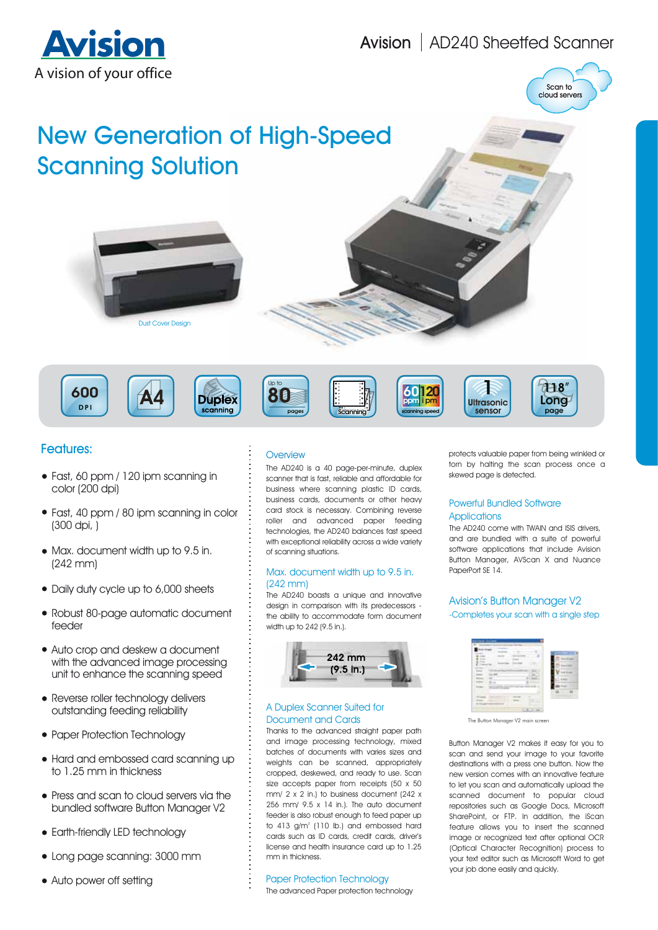## Avision | AD240 Sheetfed Scanner





# New Generation of High-Speed Scanning Solution









#### Features:

- Fast, 60 ppm / 120 ipm scanning in color (200 dpi)
- Fast, 40 ppm / 80 ipm scanning in color (300 dpi, )
- Max. document width up to 9.5 in. (242 mm)
- Daily duty cycle up to 6,000 sheets
- Robust 80-page automatic document feeder
- Auto crop and deskew a document with the advanced image processing unit to enhance the scanning speed
- Reverse roller technology delivers outstanding feeding reliability
- Paper Protection Technology
- Hard and embossed card scanning up to 1.25 mm in thickness
- Press and scan to cloud servers via the bundled software Button Manager V2
- Earth-friendly LED technology
- Long page scanning: 3000 mm
- Auto power off setting

#### **Overview**

The AD240 is a 40 page-per-minute, duplex scanner that is fast, reliable and affordable for business where scanning plastic ID cards, business cards, documents or other heavy card stock is necessary. Combining reverse roller and advanced paper feeding technologies, the AD240 balances fast speed with exceptional reliability across a wide variety of scanning situations.

#### Max. document width up to 9.5 in. PaperPort SE 14. (242 mm)

The AD240 boasts a unique and innovative design in comparison with its predecessors the ability to accommodate form document width up to 242 (9.5 in.).



#### A Duplex Scanner Suited for Document and Cards

Thanks to the advanced straight paper path and image processing technology, mixed batches of documents with varies sizes and weights can be scanned, appropriately cropped, deskewed, and ready to use. Scan size accepts paper from receipts (50 x 50 mm/ 2 x 2 in.) to business document (242 x 256 mm/ 9.5 x 14 in.). The auto document feeder is also robust enough to feed paper up to  $413$  g/m<sup>2</sup> (110 lb.) and embossed hard cards such as ID cards, credit cards, driver's license and health insurance card up to 1.25 mm in thickness.

#### Paper Protection Technology

The advanced Paper protection technology

protects valuable paper from being wrinkled or torn by halting the scan process once a skewed page is detected.

#### Powerful Bundled Software **Applications**

The AD240 come with TWAIN and ISIS drivers, and are bundled with a suite of powerful software applications that include Avision Button Manager, AVScan X and Nuance

#### Avision's Button Manager V2 -Completes your scan with a single step



The Button Manager V2 main screen

Button Manager V2 makes it easy for you to scan and send your image to your favorite destinations with a press one button. Now the new version comes with an innovative feature to let you scan and automatically upload the scanned document to popular cloud repositories such as Google Docs, Microsoft SharePoint, or FTP. In addition, the iScan feature allows you to insert the scanned image or recognized text after optional OCR (Optical Character Recognition) process to your text editor such as Microsoft Word to get your job done easily and quickly.